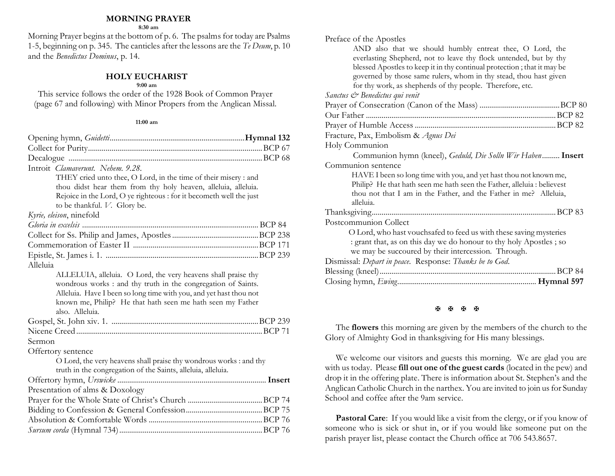#### **MORNING PRAYER**

**8:30 am**

Morning Prayer begins at the bottom of p. 6. The psalms for today are Psalms 1-5, beginning on p. 345. The canticles after the lessons are the *Te Deum*, p. 10 and the *Benedictus Dominus*, p. 14.

### **HOLY EUCHARIST**

#### **9:00 am**

This service follows the order of the 1928 Book of Common Prayer (page 67 and following) with Minor Propers from the Anglican Missal.

#### **11:00 am**

| Introit Clamaverunt. Nehem. 9.28.                                   |  |
|---------------------------------------------------------------------|--|
| THEY cried unto thee, O Lord, in the time of their misery : and     |  |
| thou didst hear them from thy holy heaven, alleluia, alleluia.      |  |
| Rejoice in the Lord, O ye righteous : for it becometh well the just |  |
| to be thankful. V. Glory be.                                        |  |
| Kyrie, eleison, ninefold                                            |  |
|                                                                     |  |
|                                                                     |  |
|                                                                     |  |
|                                                                     |  |
| Alleluia                                                            |  |
| ALLELUIA, alleluia. O Lord, the very heavens shall praise thy       |  |
| wondrous works : and thy truth in the congregation of Saints.       |  |
| Alleluia. Have I been so long time with you, and yet hast thou not  |  |
| known me, Philip? He that hath seen me hath seen my Father          |  |
| also. Alleluia.                                                     |  |
|                                                                     |  |
|                                                                     |  |
| Sermon                                                              |  |
| Offertory sentence                                                  |  |
| O Lord, the very heavens shall praise thy wondrous works : and thy  |  |
| truth in the congregation of the Saints, alleluia, alleluia.        |  |
|                                                                     |  |
| Presentation of alms & Doxology                                     |  |
|                                                                     |  |
|                                                                     |  |
|                                                                     |  |
|                                                                     |  |

| Preface of the Apostles                                                 |
|-------------------------------------------------------------------------|
| AND also that we should humbly entreat thee, O Lord, the                |
| everlasting Shepherd, not to leave thy flock untended, but by thy       |
| blessed Apostles to keep it in thy continual protection; that it may be |
| governed by those same rulers, whom in thy stead, thou hast given       |
| for thy work, as shepherds of thy people. Therefore, etc.               |
| Sanctus & Benedictus qui venit                                          |
|                                                                         |
|                                                                         |
|                                                                         |
| Fracture, Pax, Embolism & Agnus Dei                                     |
| Holy Communion                                                          |
| Communion hymn (kneel), Geduld, Die Solln Wir Haben Insert              |
| Communion sentence                                                      |
| HAVE I been so long time with you, and yet hast thou not known me,      |
| Philip? He that hath seen me hath seen the Father, alleluia : believest |
| thou not that I am in the Father, and the Father in me? Alleluia,       |
| alleluia.                                                               |
|                                                                         |
| Postcommunion Collect                                                   |
| O Lord, who hast vouchsafed to feed us with these saving mysteries      |
| : grant that, as on this day we do honour to thy holy Apostles; so      |
| we may be succoured by their intercession. Through.                     |
| Dismissal: Depart in peace. Response: Thanks be to God.                 |
|                                                                         |
|                                                                         |
|                                                                         |

**H H H H** 

The **flowers** this morning are given by the members of the church to the Glory of Almighty God in thanksgiving for His many blessings.

We welcome our visitors and guests this morning. We are glad you are with us today. Please **fill out one of the guest cards** (located in the pew) and drop it in the offering plate. There is information about St. Stephen's and the Anglican Catholic Church in the narthex. You are invited to join us for Sunday School and coffee after the 9am service.

Pastoral Care: If you would like a visit from the clergy, or if you know of someone who is sick or shut in, or if you would like someone put on the parish prayer list, please contact the Church office at 706 543.8657.